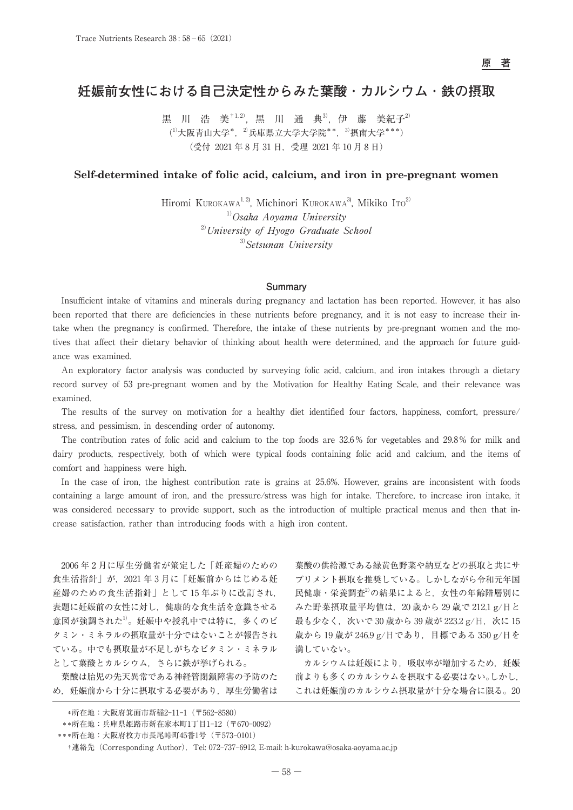# **妊娠前女性における自己決定性からみた葉酸 ・ カルシウム ・ 鉄の摂取**

黒 川 浩 美 $^{1,2}$ , 黒 川 通 典<sup>3</sup>, 伊 藤 美紀子 $^{2}$  $(1)$ 大阪青山大学\*,  $2)$ 兵庫県立大学大学院\*\*,  $3)$ 摂南大学\*\*\*) (受付 2021 年 8 月 31 日,受理 2021 年 10 月 8 日)

# **Self-determined intake of folic acid, calcium, and iron in pre-pregnant women**

Hiromi KUROKAWA<sup>1, 2</sup>, Michinori KUROKAWA<sup>3</sup>, Mikiko Ito<sup>2)</sup>  $1)$ Osaka Aoyama University  $^{2)}$ University of Hyogo Graduate School  $3)$ Setsunan University

# **Summary**

Insufficient intake of vitamins and minerals during pregnancy and lactation has been reported. However, it has also been reported that there are deficiencies in these nutrients before pregnancy, and it is not easy to increase their intake when the pregnancy is confirmed. Therefore, the intake of these nutrients by pre-pregnant women and the motives that affect their dietary behavior of thinking about health were determined, and the approach for future guidance was examined.

An exploratory factor analysis was conducted by surveying folic acid, calcium, and iron intakes through a dietary record survey of 53 pre-pregnant women and by the Motivation for Healthy Eating Scale, and their relevance was examined.

The results of the survey on motivation for a healthy diet identified four factors, happiness, comfort, pressure/ stress, and pessimism, in descending order of autonomy.

The contribution rates of folic acid and calcium to the top foods are 32.6 % for vegetables and 29.8 % for milk and dairy products, respectively, both of which were typical foods containing folic acid and calcium, and the items of comfort and happiness were high.

In the case of iron, the highest contribution rate is grains at 25.6%. However, grains are inconsistent with foods containing a large amount of iron, and the pressure/stress was high for intake. Therefore, to increase iron intake, it was considered necessary to provide support, such as the introduction of multiple practical menus and then that increase satisfaction, rather than introducing foods with a high iron content.

2006 年 2 月に厚生労働省が策定した「妊産婦のための 食生活指針」が、2021年3月に「妊娠前からはじめる妊 産婦のための食生活指針」として 15 年ぶりに改訂され, 表題に妊娠前の女性に対し,健康的な食生活を意識させる 意図が強調された1)。妊娠中や授乳中では特に、多くのビ タミン・ミネラルの摂取量が十分ではないことが報告され ている。中でも摂取量が不足しがちなビタミン・ミネラル として葉酸とカルシウム,さらに鉄が挙げられる。

葉酸は胎児の先天異常である神経管閉鎖障害の予防のた め,妊娠前から十分に摂取する必要があり,厚生労働省は

葉酸の供給源である緑黄色野菜や納豆などの摂取と共にサ プリメント摂取を推奨している。しかしながら令和元年国 民健康・栄養調査2)の結果によると,女性の年齢階層別に みた野菜摂取量平均値は,20 歳から 29 歳で 212.1 g/日と 最も少なく,次いで 30 歳から 39 歳が 223.2 g/日,次に 15 歳から 19 歳が 246.9 g/日であり,目標である 350 g/日を 満していない。

カルシウムは妊娠により、吸収率が増加するため、妊娠 前よりも多くのカルシウムを摂取する必要はない。しかし, これは妊娠前のカルシウム摂取量が十分な場合に限る。20

 <sup>\*</sup>所在地:大阪府箕面市新稲2-11-1(〒562-8580)

 <sup>\*\*</sup>所在地:兵庫県姫路市新在家本町1丁目1-12(〒670-0092)

 <sup>\*\*\*</sup>所在地:大阪府枚方市長尾峠町45番1号(〒573-0101)

 <sup>†</sup>連絡先(Corresponding Author),Tel: 072-737-6912, E-mail: h-kurokawa@osaka-aoyama.ac.jp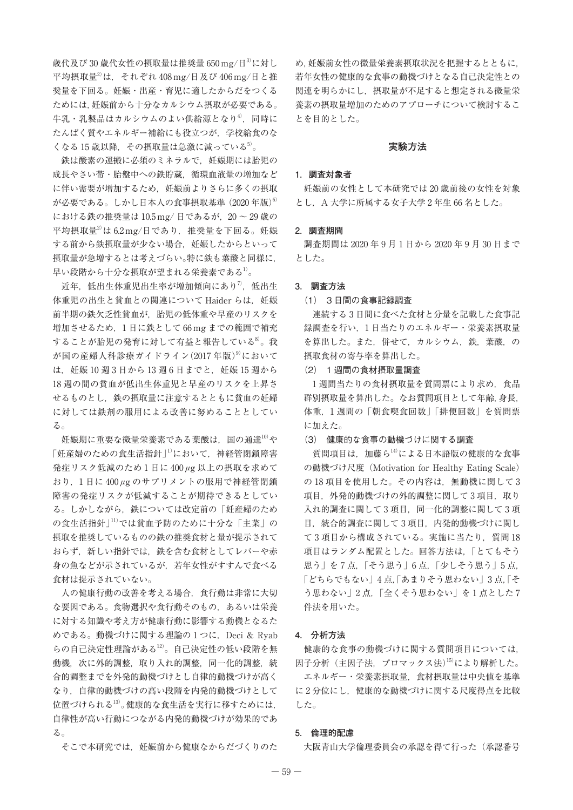歳代及び 30 歳代女性の摂取量は推奨量 650 mg/日3)に対し 平均摂取量2)は,それぞれ 408 mg/日及び 406 mg/日と推 奨量を下回る。妊娠・出産・育児に適したからだをつくる ためには,妊娠前から十分なカルシウム摂取が必要である。 牛乳・乳製品はカルシウムのよい供給源となり4). 同時に たんぱく質やエネルギー補給にも役立つが,学校給食のな くなる 15 歳以降, その摂取量は急激に減っている $5$ 。

鉄は酸素の運搬に必須のミネラルで、妊娠期には胎児の 成長やさい帯・胎盤中への鉄貯蔵、循環血液量の増加など に伴い需要が増加するため,妊娠前よりさらに多くの摂取 が必要である。しかし日本人の食事摂取基準 $(2020 \t{~\text{F}\cdot \text{K}})^6$ における鉄の推奨量は 10.5 mg/日であるが、20~29歳の 平均摂取量<sup>2)</sup>は 6.2 mg/日であり、推奨量を下回る。妊娠 する前から鉄摂取量が少ない場合,妊娠したからといって 摂取量が急増するとは考えづらい。特に鉄も葉酸と同様に, 早い段階から十分な摂取が望まれる栄養素である1)。

近年、低出生体重児出生率が増加傾向にあり<sup>7)</sup>,低出生 体重児の出生と貧血との関連について Haider らは、妊娠 前半期の鉄欠乏性貧血が,胎児の低体重や早産のリスクを 増加させるため,1 日に鉄として 66 mg までの範囲で補充 することが胎児の発育に対して有益と報告している8)。我 が国の産婦人科診療ガイドライン $(2017 \text{ } 4$ 版)<sup>9</sup>において は、妊娠 10 週3日から13 週6日までと、妊娠 15 週から 18 週の間の貧血が低出生体重児と早産のリスクを上昇さ せるものとし,鉄の摂取量に注意するとともに貧血の妊婦 に対しては鉄剤の服用による改善に努めることとしてい る。

妊娠期に重要な微量栄養素である葉酸は、国の通達10)や 「妊産婦のための食生活指針<sup>」」</sup>において、神経管閉鎖障害 発症リスク低減のため 1 日に 400 *μ*g 以上の摂取を求めて おり,1 日に 400 *μ*g のサプリメントの服用で神経管閉鎖 障害の発症リスクが低減することが期待できるとしてい る。しかしながら,鉄については改定前の「妊産婦のため の食生活指針」11)では貧血予防のために十分な「主菜」の 摂取を推奨しているものの鉄の推奨食材と量が提示されて おらず,新しい指針では,鉄を含む食材としてレバーや赤 身の魚などが示されているが,若年女性がすすんで食べる 食材は提示されていない。

人の健康行動の改善を考える場合,食行動は非常に大切 な要因である。食物選択や食行動そのもの,あるいは栄養 に対する知識や考え方が健康行動に影響する動機となるた めである。動機づけに関する理論の1つに, Deci & Ryab らの自己決定性理論がある12)。自己決定性の低い段階を無 動機,次に外的調整,取り入れ的調整,同一化的調整,統 合的調整までを外発的動機づけとし自律的動機づけが高く なり,自律的動機づけの高い段階を内発的動機づけとして 位置づけられる13)。健康的な食生活を実行に移すためには, 自律性が高い行動につながる内発的動機づけが効果的であ る。

そこで本研究では、妊娠前から健康なからだづくりのた

め,妊娠前女性の微量栄養素摂取状況を把握するとともに, 若年女性の健康的な食事の動機づけとなる自己決定性との 関連を明らかにし,摂取量が不足すると想定される微量栄 養素の摂取量増加のためのアプローチについて検討するこ とを目的とした。

# **実験方法**

# **1.調査対象者**

妊娠前の女性として本研究では 20 歳前後の女性を対象 とし, A 大学に所属する女子大学2年生66名とした。

## **2.調査期間**

調査期間は 2020 年 9 月 1 日から 2020 年 9 月 30 日まで とした。

#### **3. 調査方法**

## (1) 3 日間の食事記録調査

連続する 3 日間に食べた食材と分量を記載した食事記 録調査を行い、1日当たりのエネルギー・栄養素摂取量 を算出した。また、併せて、カルシウム、鉄、葉酸、の 摂取食材の寄与率を算出した。

## (2) 1 週間の食材摂取量調査

1 週間当たりの食材摂取量を質問票により求め、食品 群別摂取量を算出した。なお質問項目として年齢,身長, 体重,1 週間の「朝食喫食回数」「排便回数」を質問票 に加えた。

#### (3) 健康的な食事の動機づけに関する調査

質問項目は、加藤ら14)による日本語版の健康的な食事 の動機づけ尺度(Motivation for Healthy Eating Scale) の18 項目を使用した。その内容は、無動機に関して3 項目, 外発的動機づけの外的調整に関して3項目, 取り 入れ的調査に関して3項目、同一化的調整に関して3項 目,統合的調査に関して 3 項目,内発的動機づけに関し て 3 項目から構成されている。実施に当たり,質問 18 項目はランダム配置とした。回答方法は,「とてもそう 思う」を 7 点,「そう思う」6 点,「少しそう思う」5 点, 「どちらでもない」4 点,「あまりそう思わない」3 点,「そ う思わない」2点,「全くそう思わない」を1点とした7 件法を用いた。

## **4. 分析方法**

健康的な食事の動機づけに関する質問項目については, 因子分析(主因子法,プロマックス法)15)により解析した。 エネルギー・栄養素摂取量,食材摂取量は中央値を基準 に2分位にし、健康的な動機づけに関する尺度得点を比較 した。

# **5. 倫理的配慮**

大阪青山大学倫理委員会の承認を得て行った(承認番号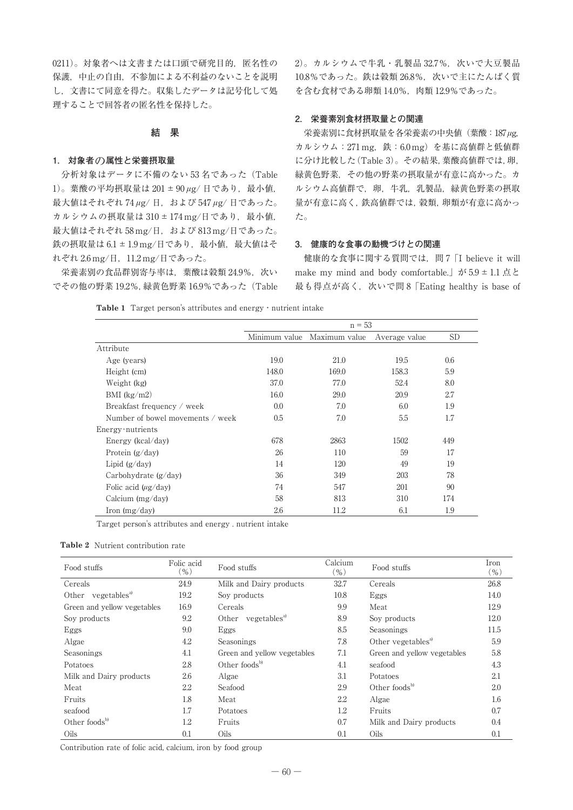0211)。対象者へは文書または口頭で研究目的, 匿名性の 保護,中止の自由,不参加による不利益のないことを説明 し,文書にて同意を得た。収集したデータは記号化して処 理することで回答者の匿名性を保持した。

# **結 果**

## **1. 対象者**の**属性と栄養摂取量**

分析対象はデータに不備のない 53名であった (Table 1)。葉酸の平均摂取量は 201 ± 90 μg/ 日であり, 最小値, 最大値はそれぞれ 74 *μ*g/ 日,および 547 *μ*g/ 日であった。 カルシウムの摂取量は 310 ± 174 mg/日であり、最小値, 最大値はそれぞれ 58 mg/日, および 813 mg/日であった。 鉄の摂取量は 6.1 ± 1.9 mg/日であり、最小値, 最大値はそ れぞれ 2.6 mg/日,11.2 mg/日であった。

栄養素別の食品群別寄与率は、葉酸は穀類 24.9%,次い でその他の野菜 19.2%,緑黄色野菜 16.9%であった(Table  $2)$ 。カルシウムで牛乳·乳製品 32.7%,次いで大豆製品 10.8%であった。鉄は穀類 26.8%,次いで主にたんぱく質 を含む食材である卵類 14.0%,肉類 12.9%であった。

# **2. 栄養素別食材摂取量との関連**

栄養素別に食材摂取量を各栄養素の中央値(葉酸:187*μ*g, カルシウム: 271 mg, 鉄: 6.0 mg) を基に高値群と低値群 に分け比較した(Table 3)。その結果,葉酸高値群では,卵, 緑黄色野菜,その他の野菜の摂取量が有意に高かった。カ ルシウム高値群で、卵,牛乳,乳製品,緑黄色野菜の摂取 量が有意に高く,鉄高値群では,穀類,卵類が有意に高かっ た。

# **3. 健康的な食事の動機づけとの関連**

健康的な食事に関する質問では,問 7「I believe it will make my mind and body comfortable.  $\dot{\gamma}$  5.9 ± 1.1 点と 最も得点が高く,次いで問 8 [Eating healthy is base of

**Table 1** Target person's attributes and energy・nutrient intake

|                                  |       | Minimum value Maximum value | Average value | <b>SD</b> |
|----------------------------------|-------|-----------------------------|---------------|-----------|
| Attribute                        |       |                             |               |           |
| Age (years)                      | 19.0  | 21.0                        | 19.5          | 0.6       |
| Height (cm)                      | 148.0 | 169.0                       | 158.3         | 5.9       |
| Weight (kg)                      | 37.0  | 77.0                        | 52.4          | 8.0       |
| BMI $(kg/m2)$                    | 16.0  | 29.0                        | 20.9          | 2.7       |
| Breakfast frequency / week       | 0.0   | 7.0                         | 6.0           | 1.9       |
| Number of bowel movements / week | 0.5   | 7.0                         | 5.5           | 1.7       |
| $Energy\cdot nutrients$          |       |                             |               |           |
| Energy ( $kcal/day$ )            | 678   | 2863                        | 1502          | 449       |
| Protein $(g/day)$                | 26    | 110                         | 59            | 17        |
| Lipid $(g/day)$                  | 14    | 120                         | 49            | 19        |
| Carbohydrate $(g/day)$           | 36    | 349                         | 203           | 78        |
| Folic acid $(\mu g / day)$       | 74    | 547                         | 201           | 90        |
| Calcium $(mg/day)$               | 58    | 813                         | 310           | 174       |
| Iron (mg/day)                    | 2.6   | 11.2                        | 6.1           | 1.9       |

Target person's attributes and energy . nutrient intake

# **Table 2** Nutrient contribution rate

| Food stuffs                    | Folic acid<br>Food stuffs<br>$(\%)$ |                                | Calcium<br>$(\% )$ | Food stuffs                    | Iron<br>( %) |
|--------------------------------|-------------------------------------|--------------------------------|--------------------|--------------------------------|--------------|
| Cereals                        | 24.9                                | Milk and Dairy products        | 32.7               | Cereals                        | 26.8         |
| Other vegetables <sup>a)</sup> | 19.2                                | Soy products                   | 10.8               | Eggs                           | 14.0         |
| Green and yellow vegetables    | 16.9                                | Cereals                        | 9.9                | Meat                           | 12.9         |
| Soy products                   | 9.2                                 | Other vegetables <sup>a)</sup> | 8.9                | Soy products                   | 12.0         |
| Eggs                           | 9.0                                 | Eggs                           | 8.5                | Seasonings                     | 11.5         |
| Algae                          | 4.2                                 | Seasonings                     | 7.8                | Other vegetables <sup>a)</sup> | 5.9          |
| Seasonings                     | 4.1                                 | Green and yellow vegetables    | 7.1                | Green and yellow vegetables    | 5.8          |
| Potatoes                       | 2.8                                 | Other foods $^{b)}$            | 4.1                | seafood                        | 4.3          |
| Milk and Dairy products        | 2.6                                 | Algae                          | 3.1                | Potatoes                       | 2.1          |
| Meat                           | 2.2                                 | Seafood                        | 2.9                | Other foods $b$                | 2.0          |
| Fruits                         | 1.8                                 | Meat                           | 2.2                | Algae                          | 1.6          |
| seafood                        | 1.7                                 | Potatoes                       | 1.2                | Fruits                         | 0.7          |
| Other foods $^{b)}$            | 1.2                                 | Fruits                         | 0.7                | Milk and Dairy products        | 0.4          |
| Oils                           | 0.1                                 | Oils                           | 0.1                | Oils                           | 0.1          |

Contribution rate of folic acid, calcium, iron by food group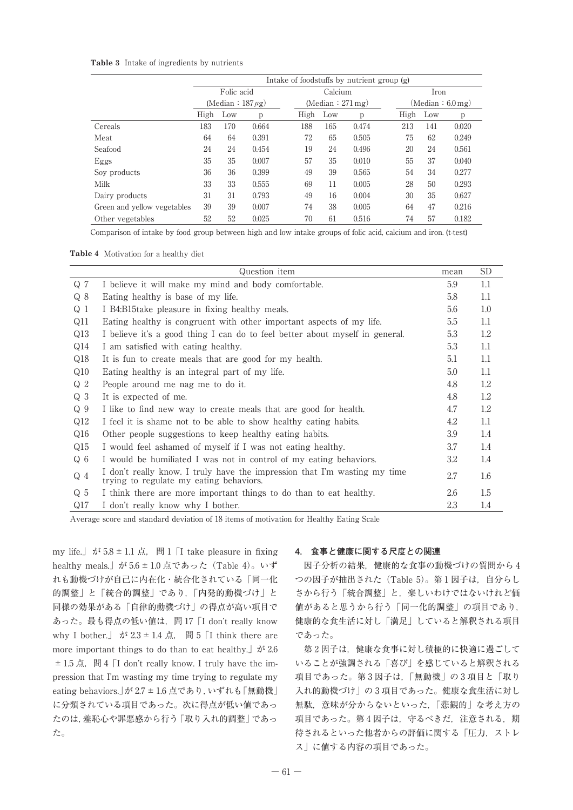# **Table 3** Intake of ingredients by nutrients

|                             | Intake of foodstuffs by nutrient group (g) |                         |              |      |                                 |       |      |                 |       |  |  |  |
|-----------------------------|--------------------------------------------|-------------------------|--------------|------|---------------------------------|-------|------|-----------------|-------|--|--|--|
|                             |                                            | Folic acid              |              |      | Calcium                         |       |      | Iron            |       |  |  |  |
|                             |                                            | (Median : $187 \mu g$ ) |              |      | (Median $: 271 \,\mathrm{mg}$ ) |       |      | (Median: 6.0mg) |       |  |  |  |
|                             | High                                       | Low                     | $\mathbf{p}$ | High | Low                             | p     | High | Low             | p     |  |  |  |
| Cereals                     | 183                                        | 170                     | 0.664        | 188  | 165                             | 0.474 | 213  | 141             | 0.020 |  |  |  |
| Meat                        | 64                                         | 64                      | 0.391        | 72   | 65                              | 0.505 | 75   | 62              | 0.249 |  |  |  |
| Seafood                     | 24                                         | 24                      | 0.454        | 19   | 24                              | 0.496 | 20   | 24              | 0.561 |  |  |  |
| Eggs                        | 35                                         | 35                      | 0.007        | 57   | 35                              | 0.010 | 55   | 37              | 0.040 |  |  |  |
| Soy products                | 36                                         | 36                      | 0.399        | 49   | 39                              | 0.565 | 54   | 34              | 0.277 |  |  |  |
| Milk                        | 33                                         | 33                      | 0.555        | 69   | 11                              | 0.005 | 28   | 50              | 0.293 |  |  |  |
| Dairy products              | 31                                         | 31                      | 0.793        | 49   | 16                              | 0.004 | 30   | 35              | 0.627 |  |  |  |
| Green and yellow vegetables | 39                                         | 39                      | 0.007        | 74   | 38                              | 0.005 | 64   | 47              | 0.216 |  |  |  |
| Other vegetables            | 52                                         | 52                      | 0.025        | 70   | 61                              | 0.516 | 74   | 57              | 0.182 |  |  |  |

Comparison of intake by food group between high and low intake groups of folic acid, calcium and iron. (t-test)

| <b>Table 4</b> Motivation for a healthy diet |
|----------------------------------------------|
|----------------------------------------------|

|                | Question item                                                                                                        | mean | <b>SD</b> |
|----------------|----------------------------------------------------------------------------------------------------------------------|------|-----------|
| Q <sub>7</sub> | I believe it will make my mind and body comfortable.                                                                 | 5.9  | 1.1       |
| Q 8            | Eating healthy is base of my life.                                                                                   | 5.8  | 1.1       |
| $Q_1$          | I B4:B15take pleasure in fixing healthy meals.                                                                       | 5.6  | 1.0       |
| Q11            | Eating healthy is congruent with other important aspects of my life.                                                 | 5.5  | 1.1       |
| Q13            | I believe it's a good thing I can do to feel better about myself in general.                                         | 5.3  | 1.2       |
| Q14            | I am satisfied with eating healthy.                                                                                  | 5.3  | $1.1\,$   |
| Q18            | It is fun to create meals that are good for my health.                                                               | 5.1  | $1.1\,$   |
| Q10            | Eating healthy is an integral part of my life.                                                                       | 5.0  | 1.1       |
| Q <sub>2</sub> | People around me nag me to do it.                                                                                    | 4.8  | 1.2       |
| Q <sub>3</sub> | It is expected of me.                                                                                                | 4.8  | 1.2       |
| Q <sub>9</sub> | I like to find new way to create meals that are good for health.                                                     | 4.7  | 1.2       |
| Q12            | I feel it is shame not to be able to show healthy eating habits.                                                     | 4.2  | $1.1\,$   |
| Q16            | Other people suggestions to keep healthy eating habits.                                                              | 3.9  | 1.4       |
| Q15            | I would feel ashamed of myself if I was not eating healthy.                                                          | 3.7  | 1.4       |
| $Q_6$          | I would be humiliated I was not in control of my eating behaviors.                                                   | 3.2  | 1.4       |
| $Q_4$          | I don't really know. I truly have the impression that I'm wasting my time<br>trying to regulate my eating behaviors. | 2.7  | 1.6       |
| $Q_5$          | I think there are more important things to do than to eat healthy.                                                   | 2.6  | 1.5       |
| Q17            | I don't really know why I bother.                                                                                    | 2.3  | 1.4       |

Average score and standard deviation of 18 items of motivation for Healthy Eating Scale

my life.」が 5.8 ± 1.1 点, 問 1 「I take pleasure in fixing healthy meals.」が 5.6 ± 1.0 点であった (Table 4)。いず れも動機づけが自己に内在化・統合化されている「同一化 的調整」と「統合的調整」であり,「内発的動機づけ」と 同様の効果がある「自律的動機づけ」の得点が高い項目で あった。最も得点の低い値は,問 17「I don't really know why I bother.」 が 2.3 ± 1.4 点, 問 5 「I think there are more important things to do than to eat healthy.  $\phi$  is 2.6  $\pm$  1.5 点, 問 4 「I don't really know. I truly have the impression that I'm wasting my time trying to regulate my eating behaviors.」が 2.7 ± 1.6 点であり, いずれも「無動機」 に分類されている項目であった。次に得点が低い値であっ たのは,羞恥心や罪悪感から行う「取り入れ的調整」であっ た。

# **4. 食事と健康に関する尺度との関連**

因子分析の結果,健康的な食事の動機づけの質問から 4 つの因子が抽出された (Table 5)。第1因子は、自分らし さから行う「統合調整」と,楽しいわけではないけれど価 値があると思うから行う「同一化的調整」の項目であり, 健康的な食生活に対し「満足」していると解釈される項目 であった。

第 2 因子は,健康な食事に対し積極的に快適に過ごして いることが強調される「喜び」を感じていると解釈される 項目であった。第 3 因子は,「無動機」の 3 項目と「取り 入れ的動機づけ」の 3 項目であった。健康な食生活に対し 無駄,意味が分からないといった,「悲観的」な考え方の 項目であった。第4因子は、守るべきだ、注意される,期 待されるといった他者からの評価に関する「圧力,ストレ ス」に値する内容の項目であった。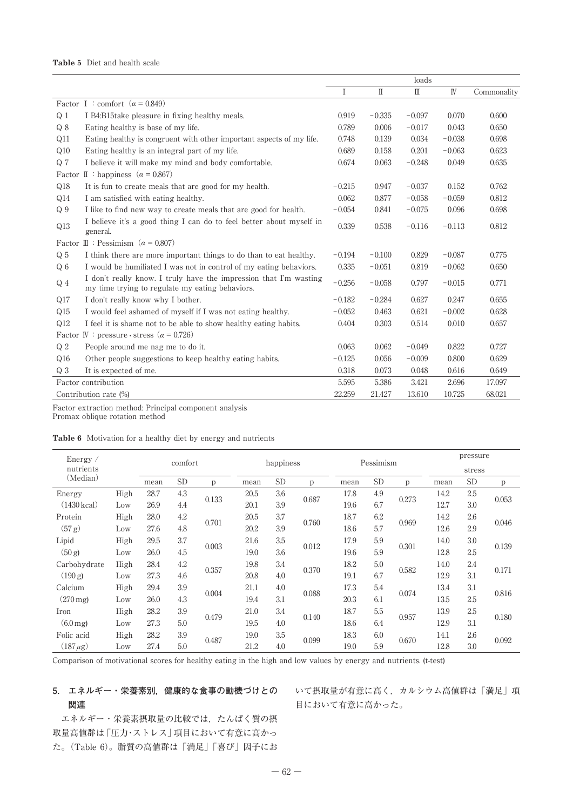# **Table 5** Diet and health scale

|                |                                                                                                                      |          |              | loads         |              |             |
|----------------|----------------------------------------------------------------------------------------------------------------------|----------|--------------|---------------|--------------|-------------|
|                |                                                                                                                      | Ι        | $\mathbb{I}$ | $\mathbbm{I}$ | $\mathbb{N}$ | Commonality |
|                | Factor I : comfort ( $\alpha$ = 0.849)                                                                               |          |              |               |              |             |
| Q <sub>1</sub> | I B4:B15take pleasure in fixing healthy meals.                                                                       | 0.919    | $-0.335$     | $-0.097$      | 0.070        | 0.600       |
| Q8             | Eating healthy is base of my life.                                                                                   | 0.789    | 0.006        | $-0.017$      | 0.043        | 0.650       |
| Q11            | Eating healthy is congruent with other important aspects of my life.                                                 | 0.748    | 0.139        | 0.034         | $-0.038$     | 0.698       |
| Q10            | Eating healthy is an integral part of my life.                                                                       | 0.689    | 0.158        | 0.201         | $-0.063$     | 0.623       |
| Q <sub>7</sub> | I believe it will make my mind and body comfortable.                                                                 | 0.674    | 0.063        | $-0.248$      | 0.049        | 0.635       |
|                | Factor II : happiness ( $\alpha = 0.867$ )                                                                           |          |              |               |              |             |
| Q18            | It is fun to create meals that are good for my health.                                                               | $-0.215$ | 0.947        | $-0.037$      | 0.152        | 0.762       |
| Q14            | I am satisfied with eating healthy.                                                                                  | 0.062    | 0.877        | $-0.058$      | $-0.059$     | 0.812       |
| Q <sub>9</sub> | I like to find new way to create meals that are good for health.                                                     | $-0.054$ | 0.841        | $-0.075$      | 0.096        | 0.698       |
| Q13            | I believe it's a good thing I can do to feel better about myself in<br>general.                                      | 0.339    | 0.538        | $-0.116$      | $-0.113$     | 0.812       |
| Factor         | $\mathbb{II}$ : Pessimism ( $\alpha = 0.807$ )                                                                       |          |              |               |              |             |
| Q <sub>5</sub> | I think there are more important things to do than to eat healthy.                                                   | $-0.194$ | $-0.100$     | 0.829         | $-0.087$     | 0.775       |
| Q <sub>6</sub> | I would be humiliated I was not in control of my eating behaviors.                                                   | 0.335    | $-0.051$     | 0.819         | $-0.062$     | 0.650       |
| $Q_4$          | I don't really know. I truly have the impression that I'm wasting<br>my time trying to regulate my eating behaviors. | $-0.256$ | $-0.058$     | 0.797         | $-0.015$     | 0.771       |
| Q17            | I don't really know why I bother.                                                                                    | $-0.182$ | $-0.284$     | 0.627         | 0.247        | 0.655       |
| Q15            | I would feel ashamed of myself if I was not eating healthy.                                                          | $-0.052$ | 0.463        | 0.621         | $-0.002$     | 0.628       |
| Q12            | I feel it is shame not to be able to show healthy eating habits.                                                     | 0.404    | 0.303        | 0.514         | 0.010        | 0.657       |
|                | Factor IV : pressure · stress ( $\alpha$ = 0.726)                                                                    |          |              |               |              |             |
| Q <sub>2</sub> | People around me nag me to do it.                                                                                    | 0.063    | 0.062        | $-0.049$      | 0.822        | 0.727       |
| Q16            | Other people suggestions to keep healthy eating habits.                                                              | $-0.125$ | 0.056        | $-0.009$      | 0.800        | 0.629       |
| Q <sub>3</sub> | It is expected of me.                                                                                                | 0.318    | 0.073        | 0.048         | 0.616        | 0.649       |
|                | Factor contribution                                                                                                  | 5.595    | 5.386        | 3.421         | 2.696        | 17.097      |
|                | Contribution rate (%)                                                                                                | 22.259   | 21.427       | 13.610        | 10.725       | 68.021      |

Factor extraction method: Principal component analysis

Promax oblique rotation method

# **Table 6** Motivation for a healthy diet by energy and nutrients

| Energy $\angle$       |      |      | comfort   |       |      | happiness |       |      | Pessimism |       | pressure |           |       |
|-----------------------|------|------|-----------|-------|------|-----------|-------|------|-----------|-------|----------|-----------|-------|
| nutrients             |      |      |           |       |      |           |       |      |           |       | stress   |           |       |
| (Median)              |      | mean | <b>SD</b> | p     | mean | <b>SD</b> | p     | mean | <b>SD</b> | p     | mean     | <b>SD</b> | p     |
| Energy                | High | 28.7 | 4.3       |       | 20.5 | 3.6       |       | 17.8 | 4.9       |       | 14.2     | 2.5       |       |
| $(1430 \text{ kcal})$ | Low  | 26.9 | 4.4       | 0.133 | 20.1 | 3.9       | 0.687 | 19.6 | 6.7       | 0.273 | 12.7     | 3.0       | 0.053 |
| Protein               | High | 28.0 | 4.2       |       | 20.5 | 3.7       |       | 18.7 | 6.2       |       | 14.2     | 2.6       |       |
| (57 g)                | Low  | 27.6 | 4.8       | 0.701 | 20.2 | 3.9       | 0.760 | 18.6 | 5.7       | 0.969 | 12.6     | 2.9       | 0.046 |
| Lipid                 | High | 29.5 | 3.7       | 0.003 | 21.6 | 3.5       | 0.012 | 17.9 | 5.9       | 0.301 | 14.0     | 3.0       | 0.139 |
| (50 g)                | Low  | 26.0 | 4.5       |       | 19.0 | 3.6       |       | 19.6 | 5.9       |       | 12.8     | 2.5       |       |
| Carbohydrate          | High | 28.4 | 4.2       |       | 19.8 | 3.4       |       | 18.2 | 5.0       |       | 14.0     | 2.4       |       |
| (190 g)               | Low  | 27.3 | 4.6       | 0.357 | 20.8 | 4.0       | 0.370 | 19.1 | 6.7       | 0.582 | 12.9     | 3.1       | 0.171 |
| Calcium               | High | 29.4 | 3.9       |       | 21.1 | 4.0       |       | 17.3 | 5.4       |       | 13.4     | 3.1       |       |
| $(270 \,\mathrm{mg})$ | Low  | 26.0 | 4.3       | 0.004 | 19.4 | 3.1       | 0.088 | 20.3 | 6.1       | 0.074 | 13.5     | 2.5       | 0.816 |
| Iron                  | High | 28.2 | 3.9       |       | 21.0 | 3.4       |       | 18.7 | 5.5       |       | 13.9     | 2.5       |       |
| $(6.0 \,\mathrm{mg})$ | Low  | 27.3 | 5.0       | 0.479 | 19.5 | 4.0       | 0.140 | 18.6 | 6.4       | 0.957 | 12.9     | 3.1       | 0.180 |
| Folic acid            | High | 28.2 | 3.9       |       | 19.0 | 3.5       |       | 18.3 | 6.0       |       | 14.1     | 2.6       |       |
| $(187 \,\mu g)$       | Low  | 27.4 | 5.0       | 0.487 | 21.2 | 4.0       | 0.099 | 19.0 | 5.9       | 0.670 | 12.8     | 3.0       | 0.092 |

Comparison of motivational scores for healthy eating in the high and low values by energy and nutrients. (t-test)

# **5. エネルギー・栄養素別,健康的な食事の動機づけとの 関連**

いて摂取量が有意に高く,カルシウム高値群は「満足」項 目において有意に高かった。

エネルギー・栄養素摂取量の比較では、たんぱく質の摂 取量高値群は「圧力・ストレス」項目において有意に高かっ た。(Table 6)。脂質の高値群は「満足」「喜び」因子にお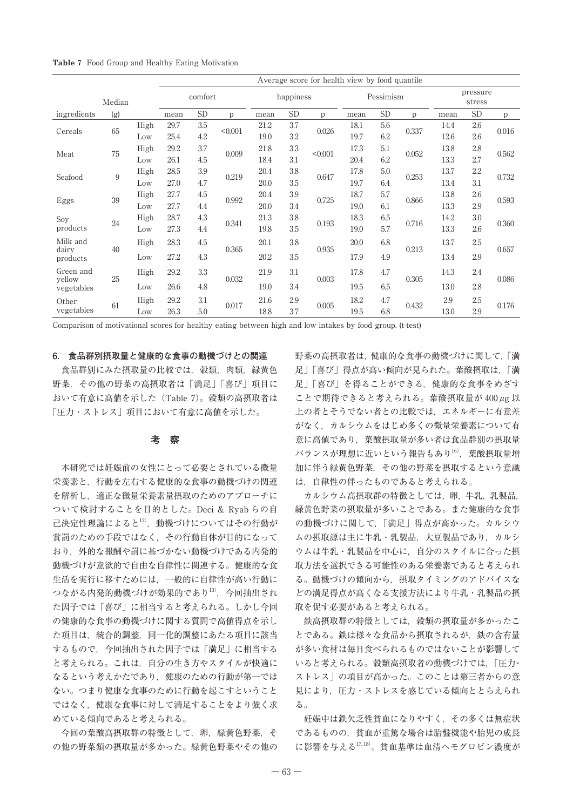| <b>Table 7</b> Food Group and Healthy Eating Motivation |  |  |  |  |  |  |  |
|---------------------------------------------------------|--|--|--|--|--|--|--|
|---------------------------------------------------------|--|--|--|--|--|--|--|

|                      |     |      | Average score for health view by food quantile |           |         |      |           |         |      |           |       |      |                    |       |  |
|----------------------|-----|------|------------------------------------------------|-----------|---------|------|-----------|---------|------|-----------|-------|------|--------------------|-------|--|
| Median               |     |      | comfort                                        |           |         |      | happiness |         |      | Pessimism |       |      | pressure<br>stress |       |  |
| ingredients          | (g) |      | mean                                           | <b>SD</b> | p       | mean | <b>SD</b> | p       | mean | <b>SD</b> | p     | mean | <b>SD</b>          | p     |  |
| Cereals              | 65  | High | 29.7                                           | 3.5       | < 0.001 | 21.2 | 3.7       | 0.026   | 18.1 | 5.6       | 0.337 | 14.4 | 2.6                | 0.016 |  |
|                      |     | Low  | 25.4                                           | 4.2       |         | 19.0 | 3.2       |         | 19.7 | 6.2       |       | 12.6 | 2.6                |       |  |
| Meat                 | 75  | High | 29.2                                           | 3.7       | 0.009   | 21.8 | 3.3       | < 0.001 | 17.3 | 5.1       | 0.052 | 13.8 | 2.8                | 0.562 |  |
|                      |     | Low  | 26.1                                           | 4.5       |         | 18.4 | 3.1       |         | 20.4 | 6.2       |       | 13.3 | 2.7                |       |  |
| 9<br>Seafood         |     | High | 28.5                                           | 3.9       | 0.219   | 20.4 | 3.8       |         | 17.8 | 5.0       | 0.253 | 13.7 | $2.2\,$            | 0.732 |  |
|                      |     | Low  | 27.0                                           | 4.7       |         | 20.0 | 3.5       | 0.647   | 19.7 | 6.4       |       | 13.4 | 3.1                |       |  |
|                      | 39  | High | 27.7                                           | 4.5       | 0.992   | 20.4 | 3.9       | 0.725   | 18.7 | 5.7       | 0.866 | 13.8 | 2.6                | 0.593 |  |
| Eggs                 |     | Low  | 27.7                                           | 4.4       |         | 20.0 | 3.4       |         | 19.0 | 6.1       |       | 13.3 | 2.9                |       |  |
| Soy                  | 24  | High | 28.7                                           | 4.3       | 0.341   | 21.3 | 3.8       | 0.193   | 18.3 | 6.5       | 0.716 | 14.2 | 3.0                | 0.360 |  |
| products             |     | Low  | 27.3                                           | 4.4       |         | 19.8 | 3.5       |         | 19.0 | 5.7       |       | 13.3 | 2.6                |       |  |
| Milk and             |     | High | 28.3                                           | 4.5       |         | 20.1 | 3.8       |         | 20.0 | 6.8       |       | 13.7 | 2.5                | 0.657 |  |
| dairy<br>products    | 40  | Low  | 27.2                                           | 4.3       | 0.365   | 20.2 | 3.5       | 0.935   | 17.9 | 4.9       | 0.213 | 13.4 | 2.9                |       |  |
| Green and            |     | High | 29.2                                           | 3.3       |         | 21.9 | 3.1       |         | 17.8 | 4.7       |       | 14.3 | 2.4                | 0.086 |  |
| vellow<br>vegetables | 25  | Low  | 26.6                                           | 4.8       | 0.032   | 19.0 | 3.4       | 0.003   | 19.5 | 6.5       | 0.305 | 13.0 | 2.8                |       |  |
| Other                | 61  | High | 29.2                                           | 3.1       | 0.017   | 21.6 | 2.9       | 0.005   | 18.2 | 4.7       | 0.432 | 2.9  | 2.5                | 0.176 |  |
| vegetables           |     | Low  | 26.3                                           | 5.0       |         | 18.8 | 3.7       |         | 19.5 | 6.8       |       | 13.0 | 2.9                |       |  |

Comparison of motivational scores for healthy eating between high and low intakes by food group. (t-test)

### **6. 食品群別摂取量と健康的な食事の動機づけとの関連**

食品群別にみた摂取量の比較では,穀類,肉類,緑黄色 野菜,その他の野菜の高摂取者は「満足」「喜び」項目に おいて有意に高値を示した(Table 7)。穀類の高摂取者は 「圧力・ストレス」項目において有意に高値を示した。

# **考 察**

本研究では妊娠前の女性にとって必要とされている微量 栄養素と,行動を左右する健康的な食事の動機づけの関連 を解析し,適正な微量栄養素量摂取のためのアプローチに ついて検討することを目的とした。Deci & Ryab らの自 己決定性理論によると12),動機づけについてはその行動が 賞罰のための手段ではなく,その行動自体が目的になって おり、外的な報酬や罰に基づかない動機づけである内発的 動機づけが意欲的で自由な自律性に関連する。健康的な食 生活を実行に移すためには,一般的に自律性が高い行動に つながる内発的動機づけが効果的であり13), 今回抽出され た因子では「喜び」に相当すると考えられる。しかし今回 の健康的な食事の動機づけに関する質問で高値得点を示し た項目は,統合的調整,同一化的調整にあたる項目に該当 するもので,今回抽出された因子では「満足」に相当する と考えられる。これは,自分の生き方やスタイルが快適に なるという考えかたであり,健康のための行動が第一では ない。つまり健康な食事のために行動を起こすということ ではなく,健康な食事に対して満足することをより強く求 めている傾向であると考えられる。

今回の葉酸高摂取群の特徴として、卵,緑黄色野菜,そ の他の野菜類の摂取量が多かった。緑黄色野菜やその他の 野菜の高摂取者は,健康的な食事の動機づけに関して,「満 足」「喜び」得点が高い傾向が見られた。葉酸摂取は,「満 足」「喜び」を得ることができる,健康的な食事をめざす ことで期待できると考えられる。葉酸摂取量が 400 *μ*g 以 上の者とそうでない者との比較では,エネルギーに有意差 がなく,カルシウムをはじめ多くの微量栄養素について有 意に高値であり,葉酸摂取量が多い者は食品群別の摂取量 バランスが理想に近いという報告もあり16),葉酸摂取量増 加に伴う緑黄色野菜,その他の野菜を摂取するという意識 は,自律性の伴ったものであると考えられる。

カルシウム高摂取群の特徴としては、卵,牛乳,乳製品, 緑黄色野菜の摂取量が多いことである。また健康的な食事 の動機づけに関して,「満足」得点が高かった。カルシウ ムの摂取源は主に牛乳・乳製品,大豆製品であり,カルシ ウムは牛乳・乳製品を中心に,自分のスタイルに合った摂 取方法を選択できる可能性のある栄養素であると考えられ る。動機づけの傾向から,摂取タイミングのアドバイスな どの満足得点が高くなる支援方法により牛乳・乳製品の摂 取を促す必要があると考えられる。

鉄高摂取群の特徴としては、穀類の摂取量が多かったこ とである。鉄は様々な食品から摂取されるが,鉄の含有量 が多い食材は毎日食べられるものではないことが影響して いると考えられる。穀類高摂取者の動機づけでは,「圧力・ ストレス」の項目が高かった。このことは第三者からの意 見により、圧力・ストレスを感じている傾向ととらえられ る。

妊娠中は鉄欠乏性貧血になりやすく,その多くは無症状 であるものの,貧血が重篤な場合は胎盤機能や胎児の成長 に影響を与える $^{17,18)}$ 。貧血基準は血清へモグロビン濃度が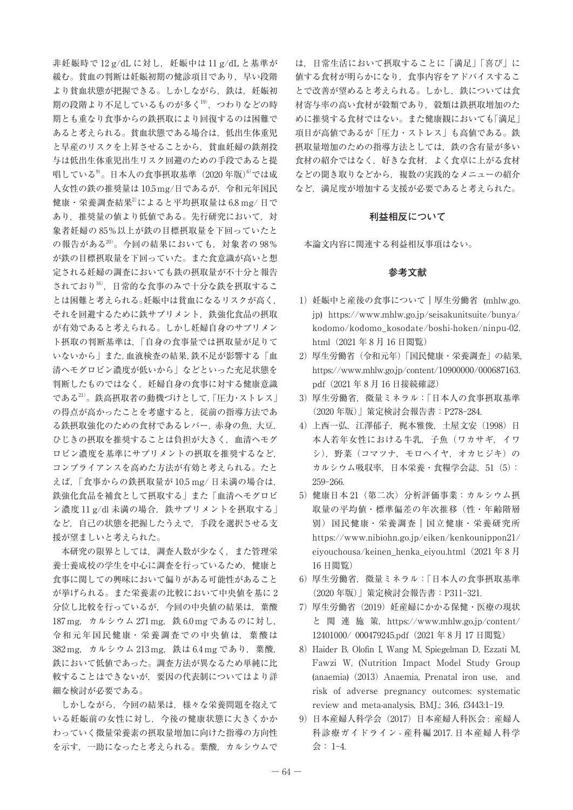非妊娠時で 12 g/dL に対し、妊娠中は 11 g/dL と基準が 緩む。貧血の判断は妊娠初期の健診項目であり,早い段階 より貧血状態が把握できる。しかしながら、鉄は、妊娠初 期の段階より不足しているものが多く19),つわりなどの時 期とも重なり食事からの鉄摂取により回復するのは困難で あると考えられる。貧血状態である場合は、低出生体重児 と早産のリスクを上昇させることから,貧血妊婦の鉄剤投 与は低出生体重児出生リスク回避のための手段であると提 唱している<sup>9)</sup>。日本人の食事摂取基準(2020年版)<sup>6)</sup>では成 人女性の鉄の推奨量は 10.5 mg/日であるが,令和元年国民 健康・栄養調査結果2)によると平均摂取量は 6.8 mg/ 日で あり,推奨量の値より低値である。先行研究において,対 象者妊婦の 85%以上が鉄の目標摂取量を下回っていたと の報告がある20)。今回の結果においても,対象者の 98% が鉄の目標摂取量を下回っていた。また食意識が高いと想 定される妊婦の調査においても鉄の摂取量が不十分と報告 されており16),日常的な食事のみで十分な鉄を摂取するこ とは困難と考えられる。妊娠中は貧血になるリスクが高く, それを回避するために鉄サプリメント,鉄強化食品の摂取 が有効であると考えられる。しかし妊婦自身のサプリメン ト摂取の判断基準は,「自身の食事量では摂取量が足りて いないから」また,血液検査の結果,鉄不足が影響する「血 清ヘモグロビン濃度が低いから」などといった充足状態を 判断したものではなく,妊婦自身の食事に対する健康意識 である21)。鉄高摂取者の動機づけとして,「圧力・ストレス」 の得点が高かったことを考慮すると,従前の指導方法であ る鉄摂取強化のための食材であるレバー,赤身の魚,大豆, ひじきの摂取を推奨することは負担が大きく,血清ヘモグ ロビン濃度を基準にサプリメントの摂取を推奨するなど, コンプライアンスを高めた方法が有効と考えられる。たと えば,「食事からの鉄摂取量が 10.5 mg/ 日未満の場合は, 鉄強化食品を補食として摂取する」また「血清ヘモグロビ ン濃度 11 g/dl 未満の場合, 鉄サプリメントを摂取する」 など,自己の状態を把握したうえで,手段を選択させる支 援が望ましいと考えられた。

本研究の限界としては,調査人数が少なく,また管理栄 養士養成校の学生を中心に調査を行っているため,健康と 食事に関しての興味において偏りがある可能性があること が挙げられる。また栄養素の比較において中央値を基に 2 分位し比較を行っているが,今回の中央値の結果は,葉酸 187 mg, カルシウム 271 mg, 鉄 6.0 mg であるのに対し, 令和元年国民健康・栄養調査での中央値は,葉酸は 382 mg, カルシウム 213 mg, 鉄は 6.4 mg であり, 葉酸, 鉄において低値であった。調査方法が異なるため単純に比 較することはできないが,要因の代表制についてはより詳 細な検討が必要である。

しかしながら,今回の結果は,様々な栄養問題を抱えて いる妊娠前の女性に対し,今後の健康状態に大きくかか わっていく微量栄養素の摂取量増加に向けた指導の方向性 を示す,一助になったと考えられる。葉酸,カルシウムで

は,日常生活において摂取することに「満足」「喜び」に 値する食材が明らかになり,食事内容をアドバイスするこ とで改善が望めると考えられる。しかし、鉄については食 材寄与率の高い食材が穀類であり,穀類は鉄摂取増加のた めに推奨する食材ではない。また健康観においても「満足」 項目が高値であるが「圧力・ストレス」も高値である。鉄 摂取量増加のための指導方法としては,鉄の含有量が多い 食材の紹介ではなく,好きな食材,よく食卓に上がる食材 などの聞き取りなどから,複数の実践的なメニューの紹介 など,満足度が増加する支援が必要であると考えられた。

# **利益相反について**

本論文内容に関連する利益相反事項はない。

# **参考文献**

- 1)妊娠中と産後の食事について|厚生労働省 (mhlw.go. jp) https://www.mhlw.go.jp/seisakunitsuite/bunya/ kodomo/kodomo\_kosodate/boshi-hoken/ninpu-02. html(2021 年 8 月 16 日閲覧)
- 2)厚生労働省(令和元年)「国民健康・栄養調査」の結果, https://www.mhlw.go.jp/content/10900000/000687163. pdf(2021 年 8 月 16 日接続確認)
- 3)厚生労働省,微量ミネラル:「日本人の食事摂取基準 (2020 年版)」策定検討会報告書:P278-284.
- 4)上西一弘,江澤郁子,梶本雅俊,土屋文安(1998)日 本人若年女性における牛乳,子魚(ワカサギ,イワ シ),野菜(コマツナ,モロヘイヤ,オカヒジキ)の カルシウム吸収率, 日本栄養・食糧学会誌, 51 (5): 259-266.
- 5)健康日本 21(第二次)分析評価事業:カルシウム摂 取量の平均値・標準偏差の年次推移(性・年齢階層 別)国民健康・栄養調査|国立健康・栄養研究所 https://www.nibiohn.go.jp/eiken/kenkounippon21/ eiyouchousa/keinen\_henka\_eiyou.html(2021 年 8 月 16 日閲覧)
- 6)厚生労働省,微量ミネラル:「日本人の食事摂取基準 (2020 年版)」策定検討会報告書:P311-321.
- 7)厚生労働省(2019)妊産婦にかかる保健・医療の現状 と 関 連 施 策,https://www.mhlw.go.jp/content/ 12401000/ 000479245.pdf(2021 年 8 月 17 日閲覧)
- 8) Haider B, Olofin I, Wang M, Spiegelman D, Ezzati M, Fawzi W, (Nutrition Impact Model Study Group (anaemia)(2013)Anaemia, Prenatal iron use, and risk of adverse pregnancy outcomes: systematic review and meta-analysis, BMJ.; 346, f3443:1-19.
- 9) 日本産婦人科学会(2017) 日本産婦人科医会: 産婦人 科診療ガイドライン - 産科編 2017. 日本産婦人科学 会: 1-4.